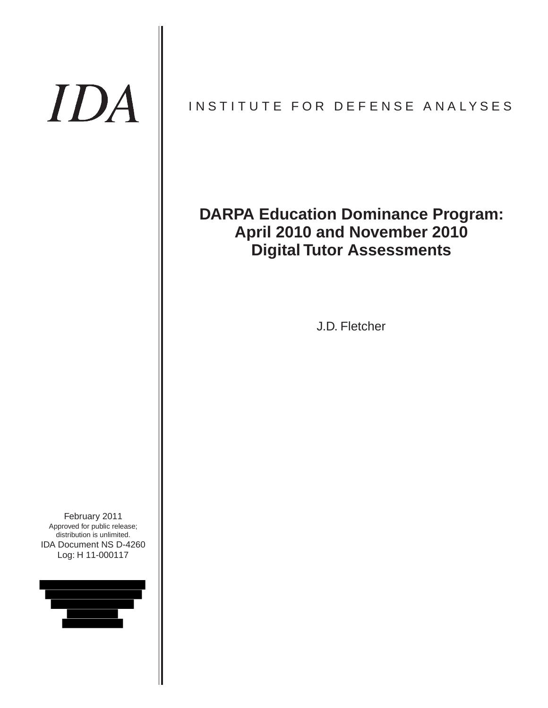# IDA

# INSTITUTE FOR DEFENSE ANALYSES

# **DARPA Education Dominance Program: April 2010 and November 2010 Digital Tutor Assessments**

J.D. Fletcher

IDA Document NS D-4260 Log: H 11-000117 February 2011 Approved for public release; distribution is unlimited.

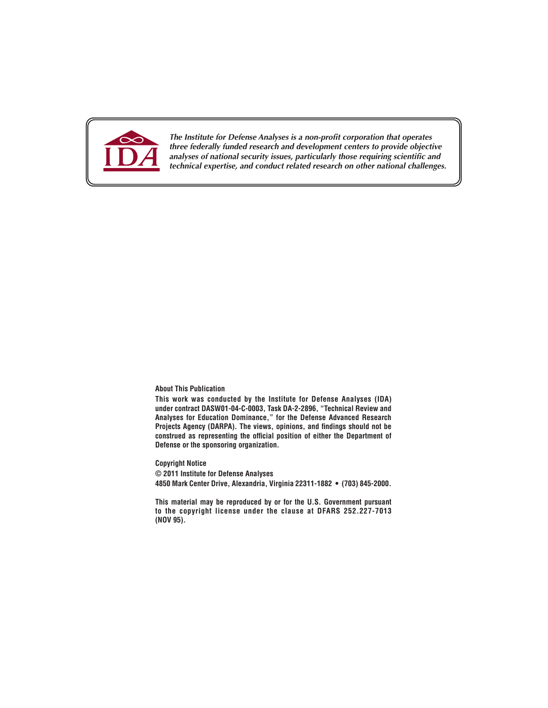

*The Institute for Defense Analyses is a non-profit corporation that operates three federally funded research and development centers to provide objective analyses of national security issues, particularly those requiring scientific and technical expertise, and conduct related research on other national challenges.*

#### **About This Publication**

**This work was conducted by the Institute for Defense Analyses (IDA) under contract DASW01-04-C-0003, Task DA-2-2896, "Technical Review and Analyses for Education Dominance," for the Defense Advanced Research Projects Agency (DARPA). The views, opinions, and findings should not be construed as representing the official position of either the Department of Defense or the sponsoring organization.**

**Copyright Notice © 2011 Institute for Defense Analyses 4850 Mark Center Drive, Alexandria, Virginia 22311-1882 • (703) 845-2000.**

**This material may be reproduced by or for the U.S. Government pursuant to the copyright license under the clause at DFARS 252.227-7013 (NOV 95).**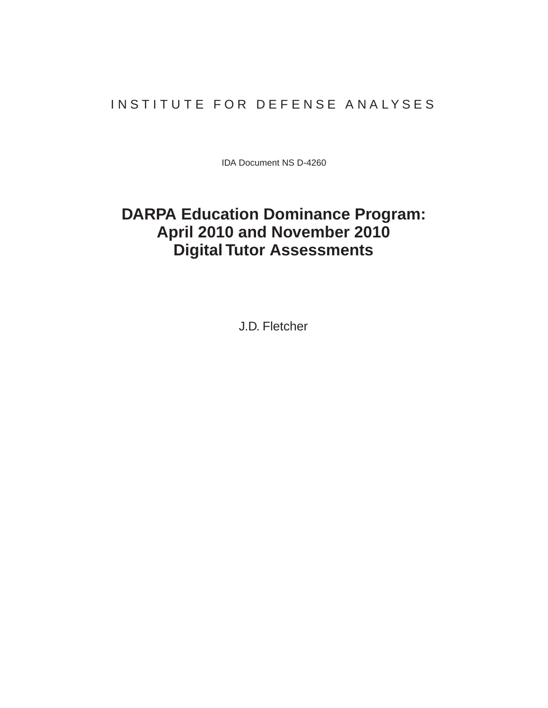## INSTITUTE FOR DEFENSE ANALYSES

IDA Document NS D-4260

# **DARPA Education Dominance Program: April 2010 and November 2010 Digital Tutor Assessments**

J.D. Fletcher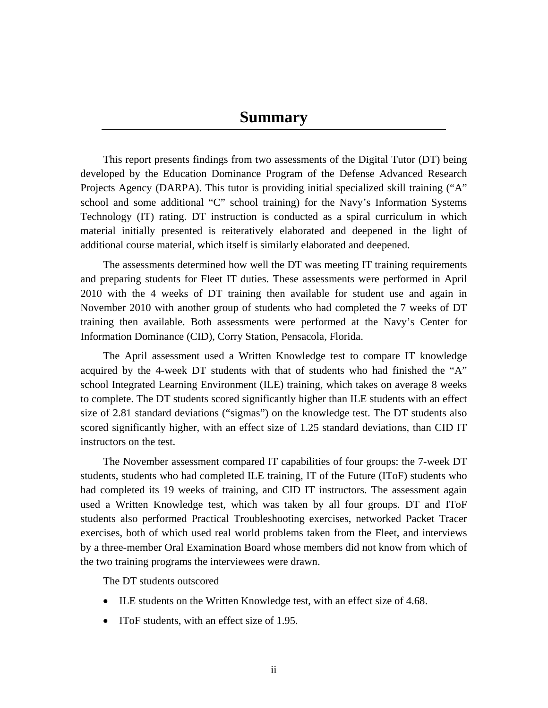## **Summary**

This report presents findings from two assessments of the Digital Tutor (DT) being developed by the Education Dominance Program of the Defense Advanced Research Projects Agency (DARPA). This tutor is providing initial specialized skill training ("A" school and some additional "C" school training) for the Navy's Information Systems Technology (IT) rating. DT instruction is conducted as a spiral curriculum in which material initially presented is reiteratively elaborated and deepened in the light of additional course material, which itself is similarly elaborated and deepened.

The assessments determined how well the DT was meeting IT training requirements and preparing students for Fleet IT duties. These assessments were performed in April 2010 with the 4 weeks of DT training then available for student use and again in November 2010 with another group of students who had completed the 7 weeks of DT training then available. Both assessments were performed at the Navy's Center for Information Dominance (CID), Corry Station, Pensacola, Florida.

The April assessment used a Written Knowledge test to compare IT knowledge acquired by the 4-week DT students with that of students who had finished the "A" school Integrated Learning Environment (ILE) training, which takes on average 8 weeks to complete. The DT students scored significantly higher than ILE students with an effect size of 2.81 standard deviations ("sigmas") on the knowledge test. The DT students also scored significantly higher, with an effect size of 1.25 standard deviations, than CID IT instructors on the test.

The November assessment compared IT capabilities of four groups: the 7-week DT students, students who had completed ILE training, IT of the Future (IToF) students who had completed its 19 weeks of training, and CID IT instructors. The assessment again used a Written Knowledge test, which was taken by all four groups. DT and IToF students also performed Practical Troubleshooting exercises, networked Packet Tracer exercises, both of which used real world problems taken from the Fleet, and interviews by a three-member Oral Examination Board whose members did not know from which of the two training programs the interviewees were drawn.

The DT students outscored

- ILE students on the Written Knowledge test, with an effect size of 4.68.
- IToF students, with an effect size of 1.95.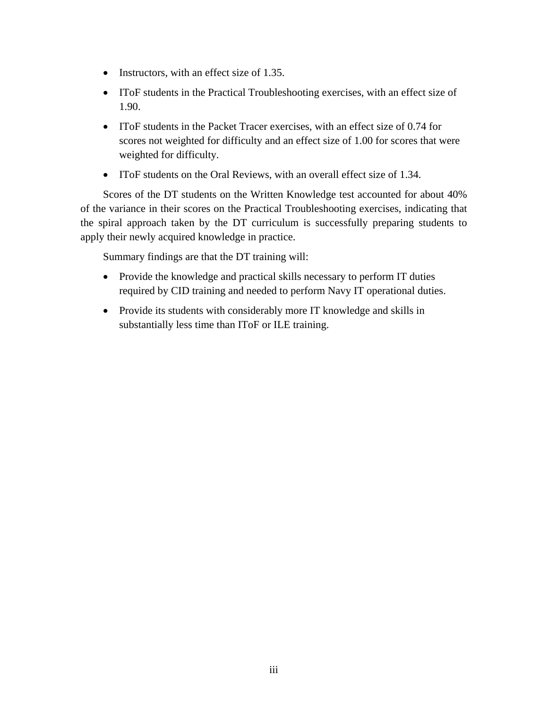- Instructors, with an effect size of 1.35.
- IToF students in the Practical Troubleshooting exercises, with an effect size of 1.90.
- IToF students in the Packet Tracer exercises, with an effect size of 0.74 for scores not weighted for difficulty and an effect size of 1.00 for scores that were weighted for difficulty.
- IToF students on the Oral Reviews, with an overall effect size of 1.34.

Scores of the DT students on the Written Knowledge test accounted for about 40% of the variance in their scores on the Practical Troubleshooting exercises, indicating that the spiral approach taken by the DT curriculum is successfully preparing students to apply their newly acquired knowledge in practice.

Summary findings are that the DT training will:

- Provide the knowledge and practical skills necessary to perform IT duties required by CID training and needed to perform Navy IT operational duties.
- Provide its students with considerably more IT knowledge and skills in substantially less time than IToF or ILE training.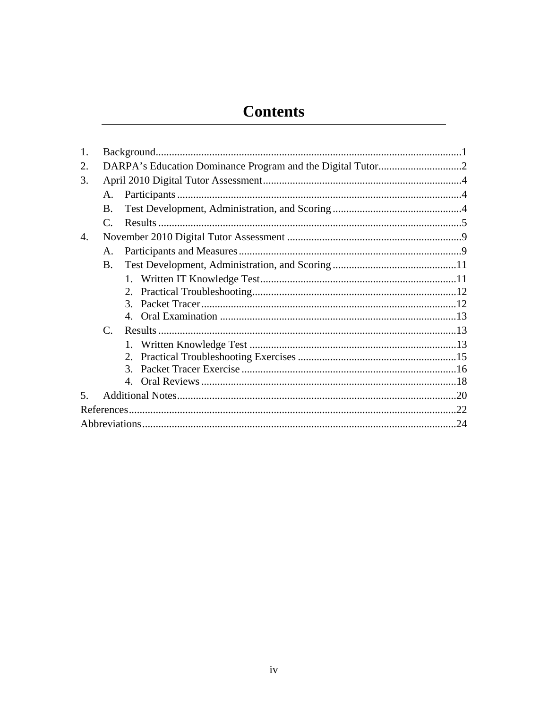# **Contents**

| 1. |                |                |  |
|----|----------------|----------------|--|
| 2. |                |                |  |
| 3. |                |                |  |
|    | $\mathsf{A}$ . |                |  |
|    | B.             |                |  |
|    | C.             |                |  |
| 4. |                |                |  |
|    | A.             |                |  |
|    | B.             |                |  |
|    |                |                |  |
|    |                |                |  |
|    |                |                |  |
|    |                |                |  |
|    | $C_{\cdot}$    |                |  |
|    |                |                |  |
|    |                | $2^{\circ}$    |  |
|    |                | $\mathcal{E}$  |  |
|    |                | $\mathbf{4}$ . |  |
| .5 |                |                |  |
|    |                |                |  |
|    |                |                |  |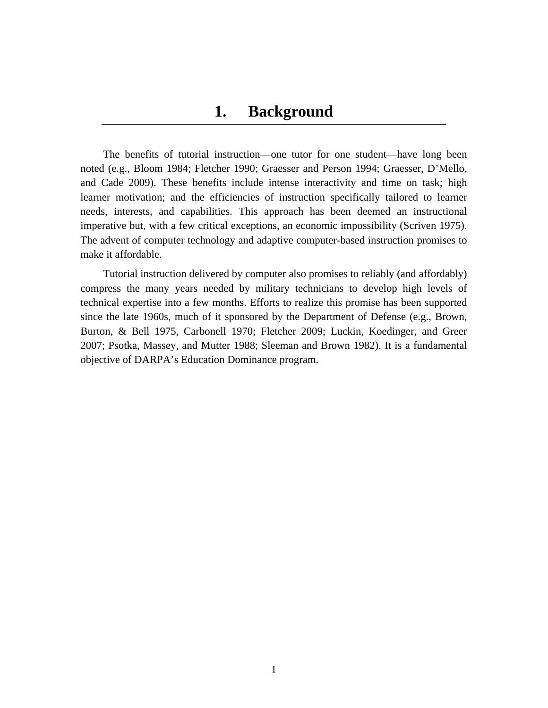The benefits of tutorial instruction—one tutor for one student—have long been noted (e.g., Bloom 1984; Fletcher 1990; Graesser and Person 1994; Graesser, D'Mello, and Cade 2009). These benefits include intense interactivity and time on task; high learner motivation; and the efficiencies of instruction specifically tailored to learner needs, interests, and capabilities. This approach has been deemed an instructional imperative but, with a few critical exceptions, an economic impossibility (Scriven 1975). The advent of computer technology and adaptive computer-based instruction promises to make it affordable.

Tutorial instruction delivered by computer also promises to reliably (and affordably) compress the many years needed by military technicians to develop high levels of technical expertise into a few months. Efforts to realize this promise has been supported since the late 1960s, much of it sponsored by the Department of Defense (e.g., Brown, Burton, & Bell 1975, Carbonell 1970; Fletcher 2009; Luckin, Koedinger, and Greer 2007; Psotka, Massey, and Mutter 1988; Sleeman and Brown 1982). It is a fundamental objective of DARPA's Education Dominance program.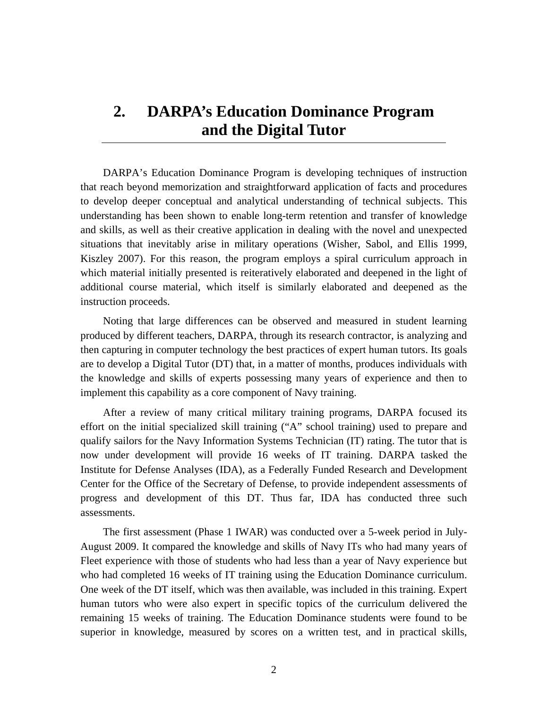# **2. DARPA's Education Dominance Program and the Digital Tutor**

DARPA's Education Dominance Program is developing techniques of instruction that reach beyond memorization and straightforward application of facts and procedures to develop deeper conceptual and analytical understanding of technical subjects. This understanding has been shown to enable long-term retention and transfer of knowledge and skills, as well as their creative application in dealing with the novel and unexpected situations that inevitably arise in military operations (Wisher, Sabol, and Ellis 1999, Kiszley 2007). For this reason, the program employs a spiral curriculum approach in which material initially presented is reiteratively elaborated and deepened in the light of additional course material, which itself is similarly elaborated and deepened as the instruction proceeds.

Noting that large differences can be observed and measured in student learning produced by different teachers, DARPA, through its research contractor, is analyzing and then capturing in computer technology the best practices of expert human tutors. Its goals are to develop a Digital Tutor (DT) that, in a matter of months, produces individuals with the knowledge and skills of experts possessing many years of experience and then to implement this capability as a core component of Navy training.

After a review of many critical military training programs, DARPA focused its effort on the initial specialized skill training ("A" school training) used to prepare and qualify sailors for the Navy Information Systems Technician (IT) rating. The tutor that is now under development will provide 16 weeks of IT training. DARPA tasked the Institute for Defense Analyses (IDA), as a Federally Funded Research and Development Center for the Office of the Secretary of Defense, to provide independent assessments of progress and development of this DT. Thus far, IDA has conducted three such assessments.

The first assessment (Phase 1 IWAR) was conducted over a 5-week period in July-August 2009. It compared the knowledge and skills of Navy ITs who had many years of Fleet experience with those of students who had less than a year of Navy experience but who had completed 16 weeks of IT training using the Education Dominance curriculum. One week of the DT itself, which was then available, was included in this training. Expert human tutors who were also expert in specific topics of the curriculum delivered the remaining 15 weeks of training. The Education Dominance students were found to be superior in knowledge, measured by scores on a written test, and in practical skills,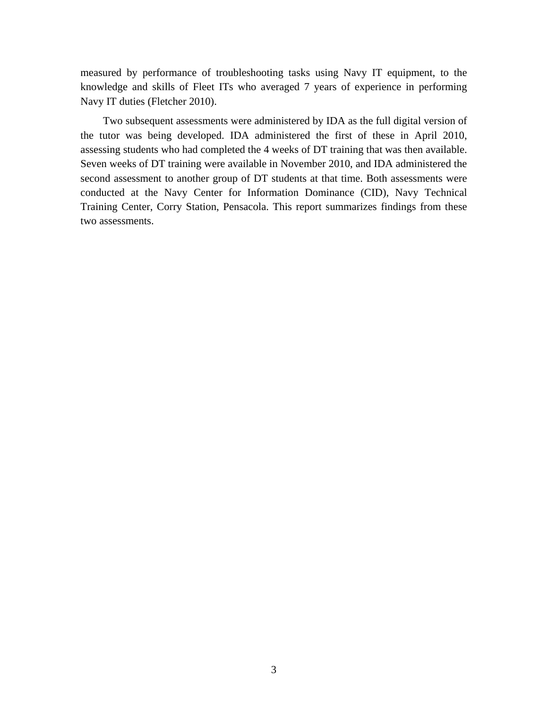measured by performance of troubleshooting tasks using Navy IT equipment, to the knowledge and skills of Fleet ITs who averaged 7 years of experience in performing Navy IT duties (Fletcher 2010).

Two subsequent assessments were administered by IDA as the full digital version of the tutor was being developed. IDA administered the first of these in April 2010, assessing students who had completed the 4 weeks of DT training that was then available. Seven weeks of DT training were available in November 2010, and IDA administered the second assessment to another group of DT students at that time. Both assessments were conducted at the Navy Center for Information Dominance (CID), Navy Technical Training Center, Corry Station, Pensacola. This report summarizes findings from these two assessments.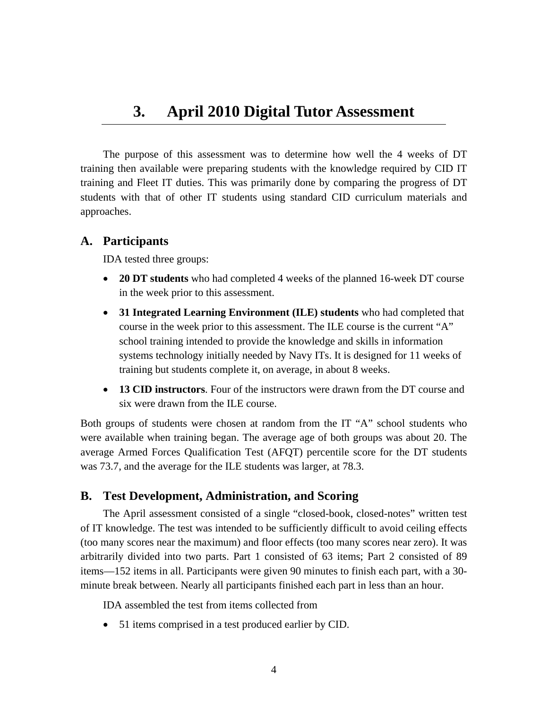The purpose of this assessment was to determine how well the 4 weeks of DT training then available were preparing students with the knowledge required by CID IT training and Fleet IT duties. This was primarily done by comparing the progress of DT students with that of other IT students using standard CID curriculum materials and approaches.

## **A. Participants**

IDA tested three groups:

- **20 DT students** who had completed 4 weeks of the planned 16-week DT course in the week prior to this assessment.
- **31 Integrated Learning Environment (ILE) students** who had completed that course in the week prior to this assessment. The ILE course is the current "A" school training intended to provide the knowledge and skills in information systems technology initially needed by Navy ITs. It is designed for 11 weeks of training but students complete it, on average, in about 8 weeks.
- **13 CID instructors**. Four of the instructors were drawn from the DT course and six were drawn from the ILE course.

Both groups of students were chosen at random from the IT "A" school students who were available when training began. The average age of both groups was about 20. The average Armed Forces Qualification Test (AFQT) percentile score for the DT students was 73.7, and the average for the ILE students was larger, at 78.3.

## **B. Test Development, Administration, and Scoring**

The April assessment consisted of a single "closed-book, closed-notes" written test of IT knowledge. The test was intended to be sufficiently difficult to avoid ceiling effects (too many scores near the maximum) and floor effects (too many scores near zero). It was arbitrarily divided into two parts. Part 1 consisted of 63 items; Part 2 consisted of 89 items—152 items in all. Participants were given 90 minutes to finish each part, with a 30 minute break between. Nearly all participants finished each part in less than an hour.

IDA assembled the test from items collected from

51 items comprised in a test produced earlier by CID.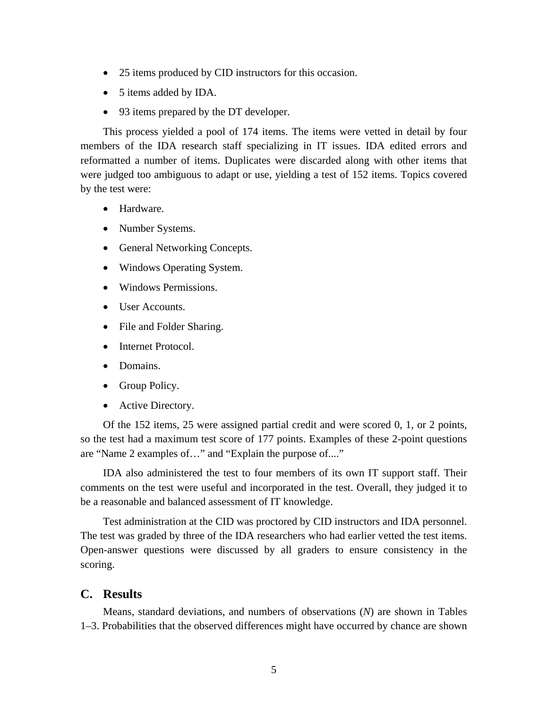- 25 items produced by CID instructors for this occasion.
- 5 items added by IDA.
- 93 items prepared by the DT developer.

This process yielded a pool of 174 items. The items were vetted in detail by four members of the IDA research staff specializing in IT issues. IDA edited errors and reformatted a number of items. Duplicates were discarded along with other items that were judged too ambiguous to adapt or use, yielding a test of 152 items. Topics covered by the test were:

- **•** Hardware.
- Number Systems.
- General Networking Concepts.
- Windows Operating System.
- Windows Permissions.
- User Accounts.
- File and Folder Sharing.
- Internet Protocol.
- Domains.
- Group Policy.
- Active Directory.

Of the 152 items, 25 were assigned partial credit and were scored 0, 1, or 2 points, so the test had a maximum test score of 177 points. Examples of these 2-point questions are "Name 2 examples of…" and "Explain the purpose of...."

IDA also administered the test to four members of its own IT support staff. Their comments on the test were useful and incorporated in the test. Overall, they judged it to be a reasonable and balanced assessment of IT knowledge.

Test administration at the CID was proctored by CID instructors and IDA personnel. The test was graded by three of the IDA researchers who had earlier vetted the test items. Open-answer questions were discussed by all graders to ensure consistency in the scoring.

#### **C. Results**

Means, standard deviations, and numbers of observations (*N*) are shown in Tables 1–3. Probabilities that the observed differences might have occurred by chance are shown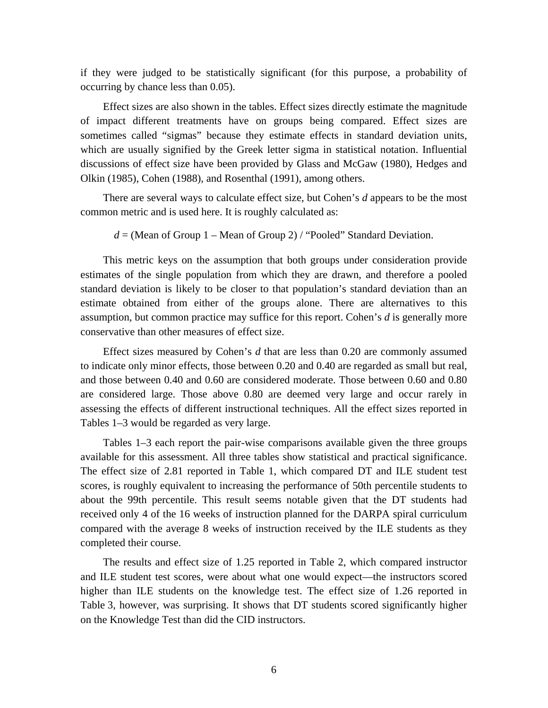if they were judged to be statistically significant (for this purpose, a probability of occurring by chance less than 0.05).

Effect sizes are also shown in the tables. Effect sizes directly estimate the magnitude of impact different treatments have on groups being compared. Effect sizes are sometimes called "sigmas" because they estimate effects in standard deviation units, which are usually signified by the Greek letter sigma in statistical notation. Influential discussions of effect size have been provided by Glass and McGaw (1980), Hedges and Olkin (1985), Cohen (1988), and Rosenthal (1991), among others.

There are several ways to calculate effect size, but Cohen's *d* appears to be the most common metric and is used here. It is roughly calculated as:

#### $d =$  (Mean of Group 1 – Mean of Group 2) / "Pooled" Standard Deviation.

This metric keys on the assumption that both groups under consideration provide estimates of the single population from which they are drawn, and therefore a pooled standard deviation is likely to be closer to that population's standard deviation than an estimate obtained from either of the groups alone. There are alternatives to this assumption, but common practice may suffice for this report. Cohen's *d* is generally more conservative than other measures of effect size.

Effect sizes measured by Cohen's *d* that are less than 0.20 are commonly assumed to indicate only minor effects, those between 0.20 and 0.40 are regarded as small but real, and those between 0.40 and 0.60 are considered moderate. Those between 0.60 and 0.80 are considered large. Those above 0.80 are deemed very large and occur rarely in assessing the effects of different instructional techniques. All the effect sizes reported in Tables 1–3 would be regarded as very large.

Tables 1–3 each report the pair-wise comparisons available given the three groups available for this assessment. All three tables show statistical and practical significance. The effect size of 2.81 reported in Table 1, which compared DT and ILE student test scores, is roughly equivalent to increasing the performance of 50th percentile students to about the 99th percentile. This result seems notable given that the DT students had received only 4 of the 16 weeks of instruction planned for the DARPA spiral curriculum compared with the average 8 weeks of instruction received by the ILE students as they completed their course.

The results and effect size of 1.25 reported in Table 2, which compared instructor and ILE student test scores, were about what one would expect—the instructors scored higher than ILE students on the knowledge test. The effect size of 1.26 reported in Table 3, however, was surprising. It shows that DT students scored significantly higher on the Knowledge Test than did the CID instructors.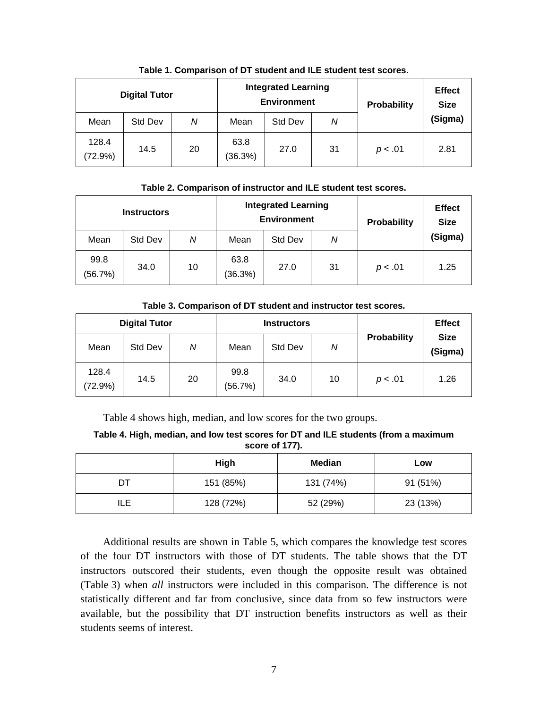| <b>Digital Tutor</b> |         |    | <b>Integrated Learning</b><br><b>Environment</b> |         |    | <b>Probability</b> | <b>Effect</b><br><b>Size</b> |
|----------------------|---------|----|--------------------------------------------------|---------|----|--------------------|------------------------------|
| Mean                 | Std Dev | Ν  | Mean                                             | Std Dev | N  |                    | (Sigma)                      |
| 128.4<br>(72.9%)     | 14.5    | 20 | 63.8<br>(36.3%)                                  | 27.0    | 31 | p < .01            | 2.81                         |

#### **Table 1. Comparison of DT student and ILE student test scores.**

#### **Table 2. Comparison of instructor and ILE student test scores.**

| <b>Instructors</b> |         |    | <b>Integrated Learning</b><br><b>Environment</b> |         |    | Probability | <b>Effect</b><br><b>Size</b> |
|--------------------|---------|----|--------------------------------------------------|---------|----|-------------|------------------------------|
| Mean               | Std Dev | Ν  | Mean                                             | Std Dev | Ν  |             | (Sigma)                      |
| 99.8<br>(56.7%)    | 34.0    | 10 | 63.8<br>(36.3%)                                  | 27.0    | 31 | p < .01     | 1.25                         |

#### **Table 3. Comparison of DT student and instructor test scores.**

| <b>Digital Tutor</b> |         |    |                 | <b>Instructors</b> |    | <b>Effect</b> |                        |
|----------------------|---------|----|-----------------|--------------------|----|---------------|------------------------|
| Mean                 | Std Dev | Ν  | Mean            | Std Dev            | N  | Probability   | <b>Size</b><br>(Sigma) |
| 128.4<br>(72.9%)     | 14.5    | 20 | 99.8<br>(56.7%) | 34.0               | 10 | p < .01       | 1.26                   |

Table 4 shows high, median, and low scores for the two groups.

**Table 4. High, median, and low test scores for DT and ILE students (from a maximum score of 177).** 

|     | High      | <b>Median</b> | Low      |
|-----|-----------|---------------|----------|
| DТ  | 151 (85%) | 131 (74%)     | 91 (51%) |
| ILE | 128 (72%) | 52 (29%)      | 23 (13%) |

Additional results are shown in Table 5, which compares the knowledge test scores of the four DT instructors with those of DT students. The table shows that the DT instructors outscored their students, even though the opposite result was obtained (Table 3) when *all* instructors were included in this comparison. The difference is not statistically different and far from conclusive, since data from so few instructors were available, but the possibility that DT instruction benefits instructors as well as their students seems of interest.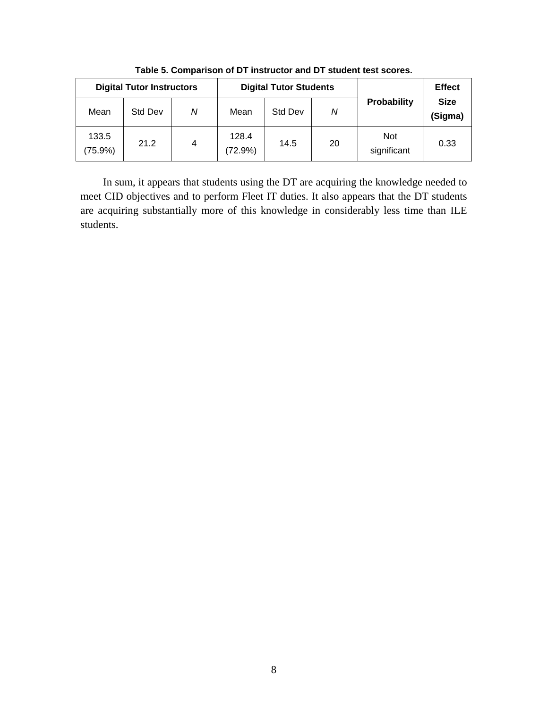|                  | <b>Digital Tutor Instructors</b> |   |                  | <b>Digital Tutor Students</b> |    | <b>Effect</b>             |                        |
|------------------|----------------------------------|---|------------------|-------------------------------|----|---------------------------|------------------------|
| Mean             | Std Dev                          | Ν | Mean             | Std Dev                       | N  | Probability               | <b>Size</b><br>(Sigma) |
| 133.5<br>(75.9%) | 21.2                             | 4 | 128.4<br>(72.9%) | 14.5                          | 20 | <b>Not</b><br>significant | 0.33                   |

**Table 5. Comparison of DT instructor and DT student test scores.** 

In sum, it appears that students using the DT are acquiring the knowledge needed to meet CID objectives and to perform Fleet IT duties. It also appears that the DT students are acquiring substantially more of this knowledge in considerably less time than ILE students.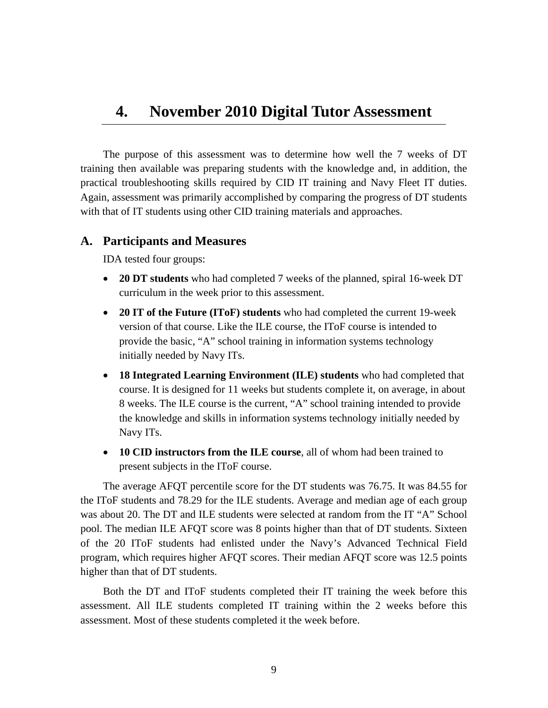## **4. November 2010 Digital Tutor Assessment**

The purpose of this assessment was to determine how well the 7 weeks of DT training then available was preparing students with the knowledge and, in addition, the practical troubleshooting skills required by CID IT training and Navy Fleet IT duties. Again, assessment was primarily accomplished by comparing the progress of DT students with that of IT students using other CID training materials and approaches.

### **A. Participants and Measures**

IDA tested four groups:

- **20 DT students** who had completed 7 weeks of the planned, spiral 16-week DT curriculum in the week prior to this assessment.
- **20 IT of the Future (IToF) students** who had completed the current 19-week version of that course. Like the ILE course, the IToF course is intended to provide the basic, "A" school training in information systems technology initially needed by Navy ITs.
- **18 Integrated Learning Environment (ILE) students** who had completed that course. It is designed for 11 weeks but students complete it, on average, in about 8 weeks. The ILE course is the current, "A" school training intended to provide the knowledge and skills in information systems technology initially needed by Navy ITs.
- **10 CID instructors from the ILE course**, all of whom had been trained to present subjects in the IToF course.

The average AFQT percentile score for the DT students was 76.75. It was 84.55 for the IToF students and 78.29 for the ILE students. Average and median age of each group was about 20. The DT and ILE students were selected at random from the IT "A" School pool. The median ILE AFQT score was 8 points higher than that of DT students. Sixteen of the 20 IToF students had enlisted under the Navy's Advanced Technical Field program, which requires higher AFQT scores. Their median AFQT score was 12.5 points higher than that of DT students.

Both the DT and IToF students completed their IT training the week before this assessment. All ILE students completed IT training within the 2 weeks before this assessment. Most of these students completed it the week before.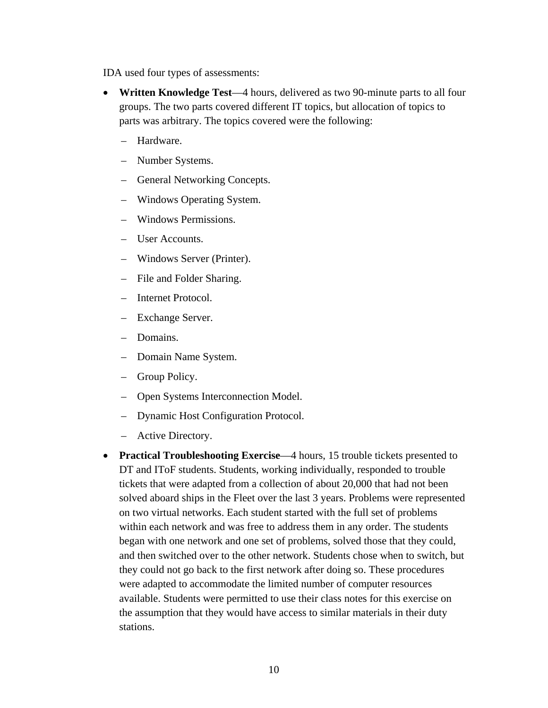IDA used four types of assessments:

- **Written Knowledge Test**—4 hours, delivered as two 90-minute parts to all four groups. The two parts covered different IT topics, but allocation of topics to parts was arbitrary. The topics covered were the following:
	- Hardware.
	- Number Systems.
	- General Networking Concepts.
	- Windows Operating System.
	- Windows Permissions.
	- User Accounts.
	- Windows Server (Printer).
	- File and Folder Sharing.
	- Internet Protocol.
	- Exchange Server.
	- Domains.
	- Domain Name System.
	- Group Policy.
	- Open Systems Interconnection Model.
	- Dynamic Host Configuration Protocol.
	- Active Directory.
- **Practical Troubleshooting Exercise—4** hours, 15 trouble tickets presented to DT and IToF students. Students, working individually, responded to trouble tickets that were adapted from a collection of about 20,000 that had not been solved aboard ships in the Fleet over the last 3 years. Problems were represented on two virtual networks. Each student started with the full set of problems within each network and was free to address them in any order. The students began with one network and one set of problems, solved those that they could, and then switched over to the other network. Students chose when to switch, but they could not go back to the first network after doing so. These procedures were adapted to accommodate the limited number of computer resources available. Students were permitted to use their class notes for this exercise on the assumption that they would have access to similar materials in their duty stations.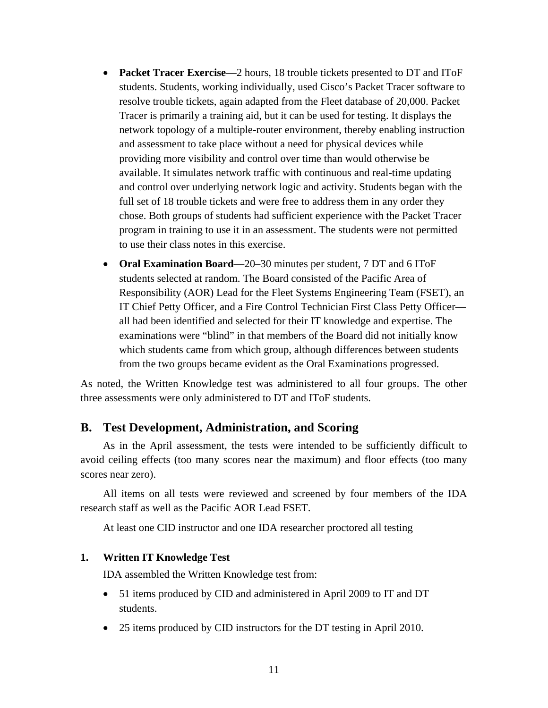- **Packet Tracer Exercise**—2 hours, 18 trouble tickets presented to DT and IToF students. Students, working individually, used Cisco's Packet Tracer software to resolve trouble tickets, again adapted from the Fleet database of 20,000. Packet Tracer is primarily a training aid, but it can be used for testing. It displays the network topology of a multiple-router environment, thereby enabling instruction and assessment to take place without a need for physical devices while providing more visibility and control over time than would otherwise be available. It simulates network traffic with continuous and real-time updating and control over underlying network logic and activity. Students began with the full set of 18 trouble tickets and were free to address them in any order they chose. Both groups of students had sufficient experience with the Packet Tracer program in training to use it in an assessment. The students were not permitted to use their class notes in this exercise.
- **Oral Examination Board**—20–30 minutes per student, 7 DT and 6 IToF students selected at random. The Board consisted of the Pacific Area of Responsibility (AOR) Lead for the Fleet Systems Engineering Team (FSET), an IT Chief Petty Officer, and a Fire Control Technician First Class Petty Officer all had been identified and selected for their IT knowledge and expertise. The examinations were "blind" in that members of the Board did not initially know which students came from which group, although differences between students from the two groups became evident as the Oral Examinations progressed.

As noted, the Written Knowledge test was administered to all four groups. The other three assessments were only administered to DT and IToF students.

## **B. Test Development, Administration, and Scoring**

As in the April assessment, the tests were intended to be sufficiently difficult to avoid ceiling effects (too many scores near the maximum) and floor effects (too many scores near zero).

All items on all tests were reviewed and screened by four members of the IDA research staff as well as the Pacific AOR Lead FSET.

At least one CID instructor and one IDA researcher proctored all testing

#### **1. Written IT Knowledge Test**

IDA assembled the Written Knowledge test from:

- 51 items produced by CID and administered in April 2009 to IT and DT students.
- 25 items produced by CID instructors for the DT testing in April 2010.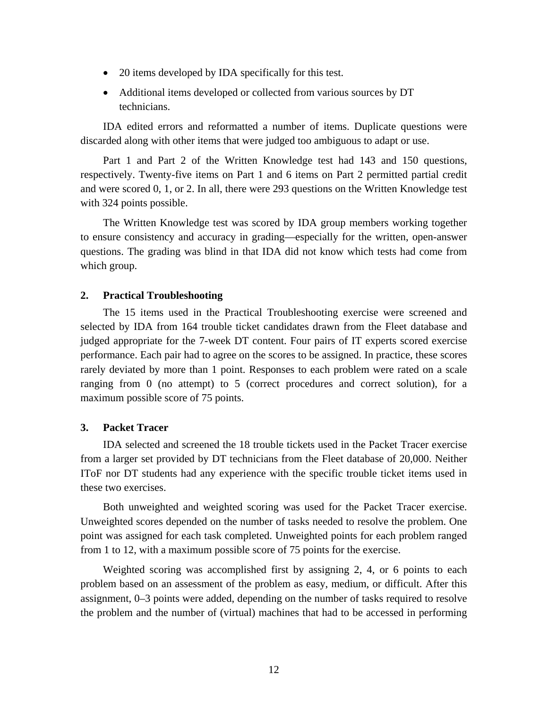- 20 items developed by IDA specifically for this test.
- Additional items developed or collected from various sources by DT technicians.

IDA edited errors and reformatted a number of items. Duplicate questions were discarded along with other items that were judged too ambiguous to adapt or use.

Part 1 and Part 2 of the Written Knowledge test had 143 and 150 questions, respectively. Twenty-five items on Part 1 and 6 items on Part 2 permitted partial credit and were scored 0, 1, or 2. In all, there were 293 questions on the Written Knowledge test with 324 points possible.

The Written Knowledge test was scored by IDA group members working together to ensure consistency and accuracy in grading—especially for the written, open-answer questions. The grading was blind in that IDA did not know which tests had come from which group.

#### **2. Practical Troubleshooting**

The 15 items used in the Practical Troubleshooting exercise were screened and selected by IDA from 164 trouble ticket candidates drawn from the Fleet database and judged appropriate for the 7-week DT content. Four pairs of IT experts scored exercise performance. Each pair had to agree on the scores to be assigned. In practice, these scores rarely deviated by more than 1 point. Responses to each problem were rated on a scale ranging from 0 (no attempt) to 5 (correct procedures and correct solution), for a maximum possible score of 75 points.

#### **3. Packet Tracer**

IDA selected and screened the 18 trouble tickets used in the Packet Tracer exercise from a larger set provided by DT technicians from the Fleet database of 20,000. Neither IToF nor DT students had any experience with the specific trouble ticket items used in these two exercises.

Both unweighted and weighted scoring was used for the Packet Tracer exercise. Unweighted scores depended on the number of tasks needed to resolve the problem. One point was assigned for each task completed. Unweighted points for each problem ranged from 1 to 12, with a maximum possible score of 75 points for the exercise.

Weighted scoring was accomplished first by assigning 2, 4, or 6 points to each problem based on an assessment of the problem as easy, medium, or difficult. After this assignment, 0–3 points were added, depending on the number of tasks required to resolve the problem and the number of (virtual) machines that had to be accessed in performing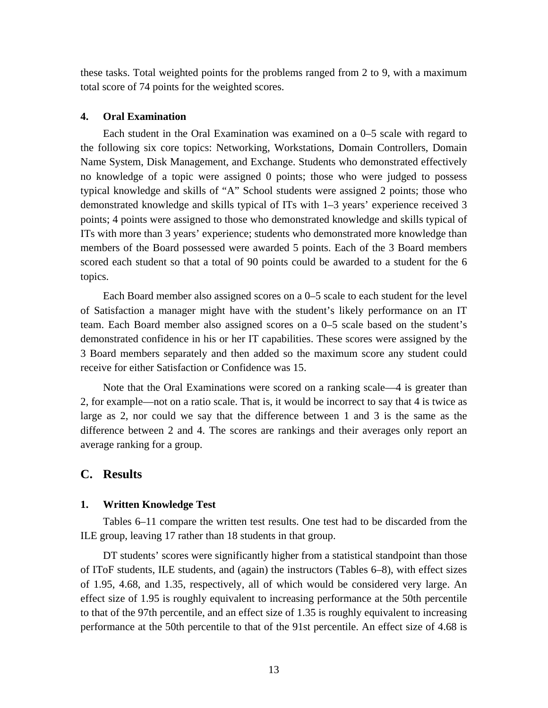these tasks. Total weighted points for the problems ranged from 2 to 9, with a maximum total score of 74 points for the weighted scores.

#### **4. Oral Examination**

Each student in the Oral Examination was examined on a 0–5 scale with regard to the following six core topics: Networking, Workstations, Domain Controllers, Domain Name System, Disk Management, and Exchange. Students who demonstrated effectively no knowledge of a topic were assigned 0 points; those who were judged to possess typical knowledge and skills of "A" School students were assigned 2 points; those who demonstrated knowledge and skills typical of ITs with 1–3 years' experience received 3 points; 4 points were assigned to those who demonstrated knowledge and skills typical of ITs with more than 3 years' experience; students who demonstrated more knowledge than members of the Board possessed were awarded 5 points. Each of the 3 Board members scored each student so that a total of 90 points could be awarded to a student for the 6 topics.

Each Board member also assigned scores on a 0–5 scale to each student for the level of Satisfaction a manager might have with the student's likely performance on an IT team. Each Board member also assigned scores on a 0–5 scale based on the student's demonstrated confidence in his or her IT capabilities. These scores were assigned by the 3 Board members separately and then added so the maximum score any student could receive for either Satisfaction or Confidence was 15.

Note that the Oral Examinations were scored on a ranking scale—4 is greater than 2, for example—not on a ratio scale. That is, it would be incorrect to say that 4 is twice as large as 2, nor could we say that the difference between 1 and 3 is the same as the difference between 2 and 4. The scores are rankings and their averages only report an average ranking for a group.

#### **C. Results**

#### **1. Written Knowledge Test**

Tables 6–11 compare the written test results. One test had to be discarded from the ILE group, leaving 17 rather than 18 students in that group.

DT students' scores were significantly higher from a statistical standpoint than those of IToF students, ILE students, and (again) the instructors (Tables 6–8), with effect sizes of 1.95, 4.68, and 1.35, respectively, all of which would be considered very large. An effect size of 1.95 is roughly equivalent to increasing performance at the 50th percentile to that of the 97th percentile, and an effect size of 1.35 is roughly equivalent to increasing performance at the 50th percentile to that of the 91st percentile. An effect size of 4.68 is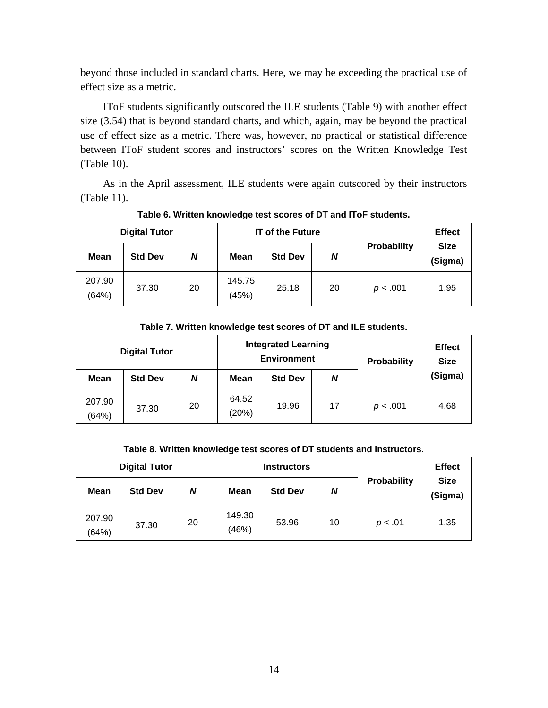beyond those included in standard charts. Here, we may be exceeding the practical use of effect size as a metric.

IToF students significantly outscored the ILE students (Table 9) with another effect size (3.54) that is beyond standard charts, and which, again, may be beyond the practical use of effect size as a metric. There was, however, no practical or statistical difference between IToF student scores and instructors' scores on the Written Knowledge Test (Table 10).

As in the April assessment, ILE students were again outscored by their instructors (Table 11).

|                 | <b>Digital Tutor</b> |    |                 | <b>IT of the Future</b> |    | <b>Effect</b> |                        |
|-----------------|----------------------|----|-----------------|-------------------------|----|---------------|------------------------|
| <b>Mean</b>     | <b>Std Dev</b>       | N  | Mean            | <b>Std Dev</b>          | N  | Probability   | <b>Size</b><br>(Sigma) |
| 207.90<br>(64%) | 37.30                | 20 | 145.75<br>(45%) | 25.18                   | 20 | p < .001      | 1.95                   |

#### **Table 6. Written knowledge test scores of DT and IToF students.**

#### **Table 7. Written knowledge test scores of DT and ILE students.**

|                 | <b>Digital Tutor</b> |    |                | <b>Integrated Learning</b><br><b>Environment</b> | Probability | <b>Effect</b><br><b>Size</b> |         |
|-----------------|----------------------|----|----------------|--------------------------------------------------|-------------|------------------------------|---------|
| <b>Mean</b>     | <b>Std Dev</b>       | N  | <b>Mean</b>    | <b>Std Dev</b>                                   | N           |                              | (Sigma) |
| 207.90<br>(64%) | 37.30                | 20 | 64.52<br>(20%) | 19.96                                            | 17          | p < .001                     | 4.68    |

#### **Table 8. Written knowledge test scores of DT students and instructors.**

| <b>Digital Tutor</b> |                |    |                 | <b>Instructors</b> |    | <b>Effect</b> |                        |
|----------------------|----------------|----|-----------------|--------------------|----|---------------|------------------------|
| <b>Mean</b>          | <b>Std Dev</b> | N  | <b>Mean</b>     | <b>Std Dev</b>     | N  | Probability   | <b>Size</b><br>(Sigma) |
| 207.90<br>(64%)      | 37.30          | 20 | 149.30<br>(46%) | 53.96              | 10 | p < .01       | 1.35                   |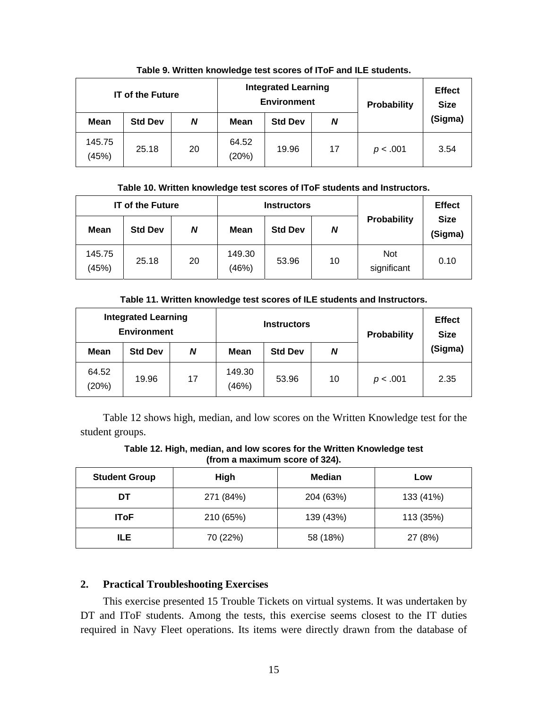|                 | <b>IT of the Future</b> |    |                | <b>Integrated Learning</b><br><b>Environment</b> | Probability | <b>Effect</b><br><b>Size</b> |         |
|-----------------|-------------------------|----|----------------|--------------------------------------------------|-------------|------------------------------|---------|
| <b>Mean</b>     | <b>Std Dev</b>          | N  | <b>Mean</b>    | <b>Std Dev</b>                                   | N           |                              | (Sigma) |
| 145.75<br>(45%) | 25.18                   | 20 | 64.52<br>(20%) | 19.96                                            | 17          | p < .001                     | 3.54    |

**Table 9. Written knowledge test scores of IToF and ILE students.** 

#### **Table 10. Written knowledge test scores of IToF students and Instructors.**

|                 | <b>IT of the Future</b> |    |                 | <b>Instructors</b> |    | <b>Effect</b>             |                        |
|-----------------|-------------------------|----|-----------------|--------------------|----|---------------------------|------------------------|
| Mean            | <b>Std Dev</b>          | N  | <b>Mean</b>     | <b>Std Dev</b>     | N  | Probability               | <b>Size</b><br>(Sigma) |
| 145.75<br>(45%) | 25.18                   | 20 | 149.30<br>(46%) | 53.96              | 10 | <b>Not</b><br>significant | 0.10                   |

**Table 11. Written knowledge test scores of ILE students and Instructors.** 

| <b>Integrated Learning</b><br><b>Environment</b> |                |    | <b>Instructors</b> |                |    | Probability | <b>Effect</b><br><b>Size</b> |
|--------------------------------------------------|----------------|----|--------------------|----------------|----|-------------|------------------------------|
| <b>Mean</b>                                      | <b>Std Dev</b> | N  | Mean               | <b>Std Dev</b> | N  |             | (Sigma)                      |
| 64.52<br>(20%)                                   | 19.96          | 17 | 149.30<br>(46%)    | 53.96          | 10 | p < .001    | 2.35                         |

Table 12 shows high, median, and low scores on the Written Knowledge test for the student groups.

**Table 12. High, median, and low scores for the Written Knowledge test (from a maximum score of 324).** 

| High<br><b>Student Group</b> |           | <b>Median</b> | Low       |  |
|------------------------------|-----------|---------------|-----------|--|
| DT                           | 271 (84%) | 204 (63%)     | 133 (41%) |  |
| 210 (65%)<br><b>IToF</b>     |           | 139 (43%)     | 113 (35%) |  |
| ILE.                         | 70 (22%)  | 58 (18%)      | 27 (8%)   |  |

## **2. Practical Troubleshooting Exercises**

This exercise presented 15 Trouble Tickets on virtual systems. It was undertaken by DT and IToF students. Among the tests, this exercise seems closest to the IT duties required in Navy Fleet operations. Its items were directly drawn from the database of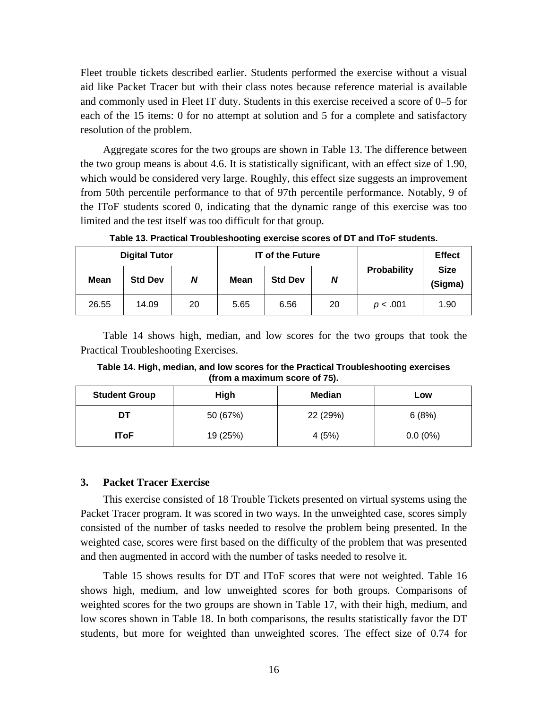Fleet trouble tickets described earlier. Students performed the exercise without a visual aid like Packet Tracer but with their class notes because reference material is available and commonly used in Fleet IT duty. Students in this exercise received a score of 0–5 for each of the 15 items: 0 for no attempt at solution and 5 for a complete and satisfactory resolution of the problem.

Aggregate scores for the two groups are shown in Table 13. The difference between the two group means is about 4.6. It is statistically significant, with an effect size of 1.90, which would be considered very large. Roughly, this effect size suggests an improvement from 50th percentile performance to that of 97th percentile performance. Notably, 9 of the IToF students scored 0, indicating that the dynamic range of this exercise was too limited and the test itself was too difficult for that group.

|             | <b>Digital Tutor</b> |    | <b>IT of the Future</b> |                |    |             | <b>Effect</b>          |
|-------------|----------------------|----|-------------------------|----------------|----|-------------|------------------------|
| <b>Mean</b> | <b>Std Dev</b>       | Ν  | <b>Mean</b>             | <b>Std Dev</b> | N  | Probability | <b>Size</b><br>(Sigma) |
| 26.55       | 14.09                | 20 | 5.65                    | 6.56           | 20 | p < .001    | 1.90                   |

**Table 13. Practical Troubleshooting exercise scores of DT and IToF students.** 

Table 14 shows high, median, and low scores for the two groups that took the Practical Troubleshooting Exercises.

**Table 14. High, median, and low scores for the Practical Troubleshooting exercises (from a maximum score of 75).** 

| <b>Student Group</b> | High     | <b>Median</b> | Low        |  |
|----------------------|----------|---------------|------------|--|
| DT                   | 50 (67%) | 22 (29%)      | 6(8%)      |  |
| lToF                 | 19 (25%) |               | $0.0(0\%)$ |  |

#### **3. Packet Tracer Exercise**

This exercise consisted of 18 Trouble Tickets presented on virtual systems using the Packet Tracer program. It was scored in two ways. In the unweighted case, scores simply consisted of the number of tasks needed to resolve the problem being presented. In the weighted case, scores were first based on the difficulty of the problem that was presented and then augmented in accord with the number of tasks needed to resolve it.

Table 15 shows results for DT and IToF scores that were not weighted. Table 16 shows high, medium, and low unweighted scores for both groups. Comparisons of weighted scores for the two groups are shown in Table 17, with their high, medium, and low scores shown in Table 18. In both comparisons, the results statistically favor the DT students, but more for weighted than unweighted scores. The effect size of 0.74 for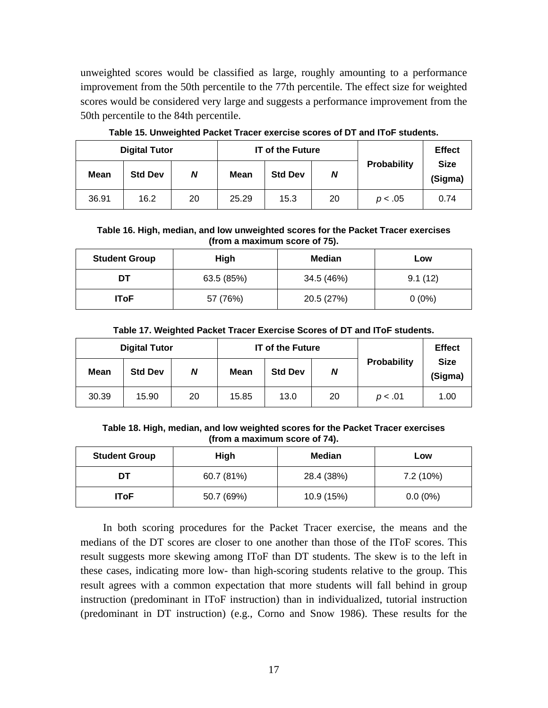unweighted scores would be classified as large, roughly amounting to a performance improvement from the 50th percentile to the 77th percentile. The effect size for weighted scores would be considered very large and suggests a performance improvement from the 50th percentile to the 84th percentile.

|             | <b>Digital Tutor</b> |    |             | <b>IT of the Future</b> |    |             | <b>Effect</b>          |
|-------------|----------------------|----|-------------|-------------------------|----|-------------|------------------------|
| <b>Mean</b> | <b>Std Dev</b>       | N  | <b>Mean</b> | <b>Std Dev</b>          | N  | Probability | <b>Size</b><br>(Sigma) |
| 36.91       | 16.2                 | 20 | 25.29       | 15.3                    | 20 | p < .05     | 0.74                   |

**Table 15. Unweighted Packet Tracer exercise scores of DT and IToF students.** 

**Table 16. High, median, and low unweighted scores for the Packet Tracer exercises (from a maximum score of 75).** 

| <b>Student Group</b>    | High       | <b>Median</b> | Low      |  |
|-------------------------|------------|---------------|----------|--|
| DT                      | 63.5 (85%) | 34.5 (46%)    | 9.1(12)  |  |
| 57 (76%)<br><b>IToF</b> |            | 20.5 (27%)    | $0(0\%)$ |  |

| Table 17. Weighted Packet Tracer Exercise Scores of DT and IToF students. |  |
|---------------------------------------------------------------------------|--|
|---------------------------------------------------------------------------|--|

| <b>Digital Tutor</b> |                |    | <b>IT of the Future</b> |                |    |             | <b>Effect</b>          |
|----------------------|----------------|----|-------------------------|----------------|----|-------------|------------------------|
| <b>Mean</b>          | <b>Std Dev</b> | N  | Mean                    | <b>Std Dev</b> | N  | Probability | <b>Size</b><br>(Sigma) |
| 30.39                | 15.90          | 20 | 15.85                   | 13.0           | 20 | p < .01     | 1.00                   |

**Table 18. High, median, and low weighted scores for the Packet Tracer exercises (from a maximum score of 74).** 

| <b>Student Group</b> | High       | <b>Median</b> | Low        |  |
|----------------------|------------|---------------|------------|--|
| DT                   | 60.7 (81%) | 28.4 (38%)    | 7.2 (10%)  |  |
| <b>IToF</b>          | 50.7 (69%) | 10.9 (15%)    | $0.0(0\%)$ |  |

In both scoring procedures for the Packet Tracer exercise, the means and the medians of the DT scores are closer to one another than those of the IToF scores. This result suggests more skewing among IToF than DT students. The skew is to the left in these cases, indicating more low- than high-scoring students relative to the group. This result agrees with a common expectation that more students will fall behind in group instruction (predominant in IToF instruction) than in individualized, tutorial instruction (predominant in DT instruction) (e.g., Corno and Snow 1986). These results for the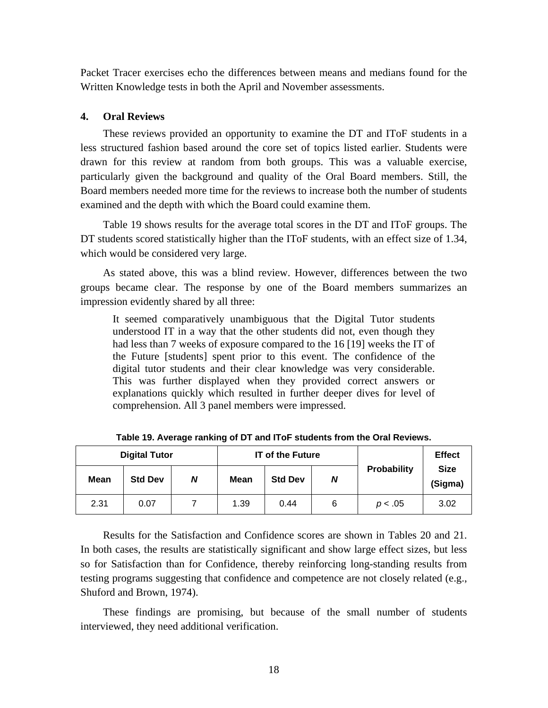Packet Tracer exercises echo the differences between means and medians found for the Written Knowledge tests in both the April and November assessments.

#### **4. Oral Reviews**

These reviews provided an opportunity to examine the DT and IToF students in a less structured fashion based around the core set of topics listed earlier. Students were drawn for this review at random from both groups. This was a valuable exercise, particularly given the background and quality of the Oral Board members. Still, the Board members needed more time for the reviews to increase both the number of students examined and the depth with which the Board could examine them.

Table 19 shows results for the average total scores in the DT and IToF groups. The DT students scored statistically higher than the IToF students, with an effect size of 1.34, which would be considered very large.

As stated above, this was a blind review. However, differences between the two groups became clear. The response by one of the Board members summarizes an impression evidently shared by all three:

It seemed comparatively unambiguous that the Digital Tutor students understood IT in a way that the other students did not, even though they had less than 7 weeks of exposure compared to the 16 [19] weeks the IT of the Future [students] spent prior to this event. The confidence of the digital tutor students and their clear knowledge was very considerable. This was further displayed when they provided correct answers or explanations quickly which resulted in further deeper dives for level of comprehension. All 3 panel members were impressed.

| <b>Digital Tutor</b> |                |   | <b>IT of the Future</b> |                |   |             | <b>Effect</b>          |
|----------------------|----------------|---|-------------------------|----------------|---|-------------|------------------------|
| <b>Mean</b>          | <b>Std Dev</b> | N | <b>Mean</b>             | <b>Std Dev</b> | N | Probability | <b>Size</b><br>(Sigma) |
| 2.31                 | 0.07           |   | 1.39                    | 0.44           | 6 | p < .05     | 3.02                   |

**Table 19. Average ranking of DT and IToF students from the Oral Reviews.** 

Results for the Satisfaction and Confidence scores are shown in Tables 20 and 21. In both cases, the results are statistically significant and show large effect sizes, but less so for Satisfaction than for Confidence, thereby reinforcing long-standing results from testing programs suggesting that confidence and competence are not closely related (e.g., Shuford and Brown, 1974).

These findings are promising, but because of the small number of students interviewed, they need additional verification.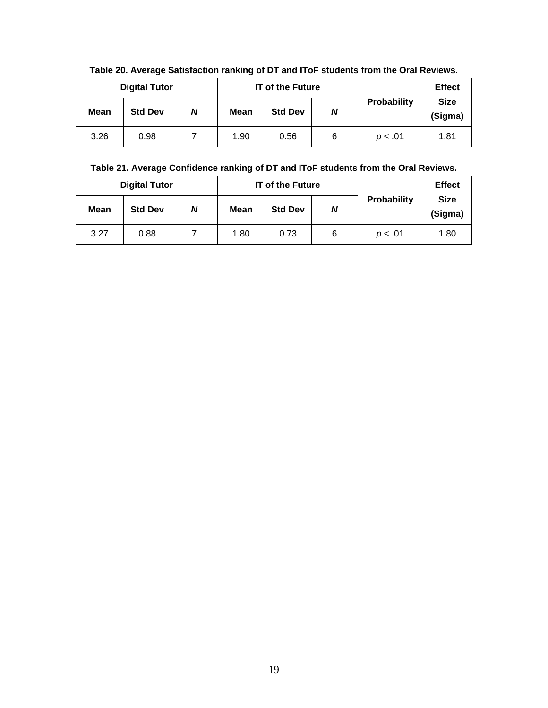|             | <b>Digital Tutor</b> |   |             | <b>IT of the Future</b> |   |             | <b>Effect</b>          |
|-------------|----------------------|---|-------------|-------------------------|---|-------------|------------------------|
| <b>Mean</b> | <b>Std Dev</b>       | N | <b>Mean</b> | <b>Std Dev</b>          | N | Probability | <b>Size</b><br>(Sigma) |
| 3.26        | 0.98                 |   | 1.90        | 0.56                    | 6 | p < .01     | 1.81                   |

**Table 20. Average Satisfaction ranking of DT and IToF students from the Oral Reviews.** 

## **Table 21. Average Confidence ranking of DT and IToF students from the Oral Reviews.**

|             | <b>Digital Tutor</b> |   |      | <b>IT of the Future</b> |   |             | <b>Effect</b>          |
|-------------|----------------------|---|------|-------------------------|---|-------------|------------------------|
| <b>Mean</b> | <b>Std Dev</b>       | N | Mean | <b>Std Dev</b>          | N | Probability | <b>Size</b><br>(Sigma) |
| 3.27        | 0.88                 |   | 1.80 | 0.73                    | 6 | p < .01     | 1.80                   |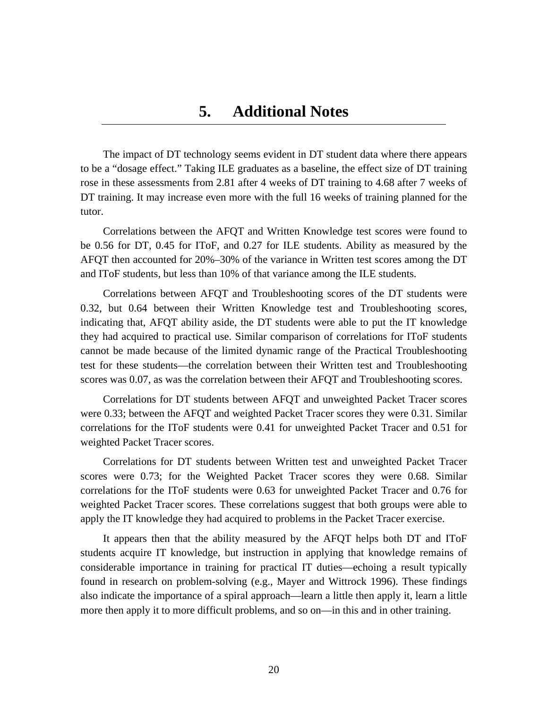## **5. Additional Notes**

The impact of DT technology seems evident in DT student data where there appears to be a "dosage effect." Taking ILE graduates as a baseline, the effect size of DT training rose in these assessments from 2.81 after 4 weeks of DT training to 4.68 after 7 weeks of DT training. It may increase even more with the full 16 weeks of training planned for the tutor.

Correlations between the AFQT and Written Knowledge test scores were found to be 0.56 for DT, 0.45 for IToF, and 0.27 for ILE students. Ability as measured by the AFQT then accounted for 20%–30% of the variance in Written test scores among the DT and IToF students, but less than 10% of that variance among the ILE students.

Correlations between AFQT and Troubleshooting scores of the DT students were 0.32, but 0.64 between their Written Knowledge test and Troubleshooting scores, indicating that, AFQT ability aside, the DT students were able to put the IT knowledge they had acquired to practical use. Similar comparison of correlations for IToF students cannot be made because of the limited dynamic range of the Practical Troubleshooting test for these students—the correlation between their Written test and Troubleshooting scores was 0.07, as was the correlation between their AFQT and Troubleshooting scores.

Correlations for DT students between AFQT and unweighted Packet Tracer scores were 0.33; between the AFQT and weighted Packet Tracer scores they were 0.31. Similar correlations for the IToF students were 0.41 for unweighted Packet Tracer and 0.51 for weighted Packet Tracer scores.

Correlations for DT students between Written test and unweighted Packet Tracer scores were 0.73; for the Weighted Packet Tracer scores they were 0.68. Similar correlations for the IToF students were 0.63 for unweighted Packet Tracer and 0.76 for weighted Packet Tracer scores. These correlations suggest that both groups were able to apply the IT knowledge they had acquired to problems in the Packet Tracer exercise.

It appears then that the ability measured by the AFQT helps both DT and IToF students acquire IT knowledge, but instruction in applying that knowledge remains of considerable importance in training for practical IT duties—echoing a result typically found in research on problem-solving (e.g., Mayer and Wittrock 1996). These findings also indicate the importance of a spiral approach—learn a little then apply it, learn a little more then apply it to more difficult problems, and so on—in this and in other training.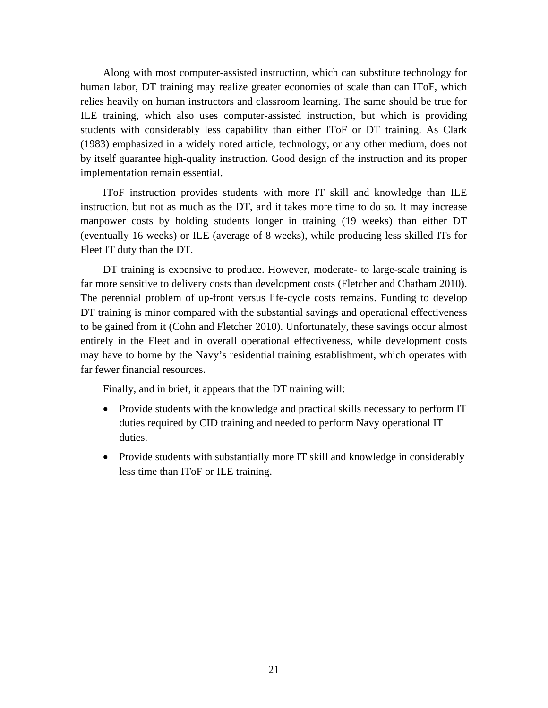Along with most computer-assisted instruction, which can substitute technology for human labor, DT training may realize greater economies of scale than can IToF, which relies heavily on human instructors and classroom learning. The same should be true for ILE training, which also uses computer-assisted instruction, but which is providing students with considerably less capability than either IToF or DT training. As Clark (1983) emphasized in a widely noted article, technology, or any other medium, does not by itself guarantee high-quality instruction. Good design of the instruction and its proper implementation remain essential.

IToF instruction provides students with more IT skill and knowledge than ILE instruction, but not as much as the DT, and it takes more time to do so. It may increase manpower costs by holding students longer in training (19 weeks) than either DT (eventually 16 weeks) or ILE (average of 8 weeks), while producing less skilled ITs for Fleet IT duty than the DT.

DT training is expensive to produce. However, moderate- to large-scale training is far more sensitive to delivery costs than development costs (Fletcher and Chatham 2010). The perennial problem of up-front versus life-cycle costs remains. Funding to develop DT training is minor compared with the substantial savings and operational effectiveness to be gained from it (Cohn and Fletcher 2010). Unfortunately, these savings occur almost entirely in the Fleet and in overall operational effectiveness, while development costs may have to borne by the Navy's residential training establishment, which operates with far fewer financial resources.

Finally, and in brief, it appears that the DT training will:

- Provide students with the knowledge and practical skills necessary to perform IT duties required by CID training and needed to perform Navy operational IT duties.
- Provide students with substantially more IT skill and knowledge in considerably less time than IToF or ILE training.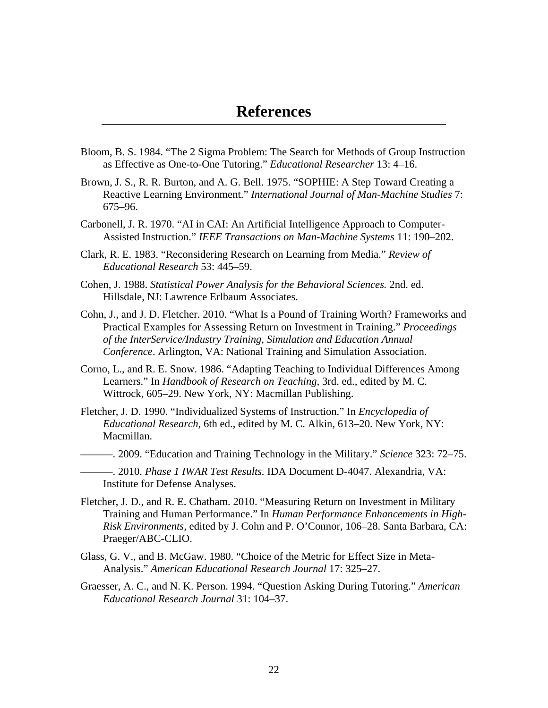- Bloom, B. S. 1984. "The 2 Sigma Problem: The Search for Methods of Group Instruction as Effective as One-to-One Tutoring." *Educational Researcher* 13: 4–16.
- Brown, J. S., R. R. Burton, and A. G. Bell. 1975. "SOPHIE: A Step Toward Creating a Reactive Learning Environment." *International Journal of Man-Machine Studies* 7: 675–96.
- Carbonell, J. R. 1970. "AI in CAI: An Artificial Intelligence Approach to Computer-Assisted Instruction." *IEEE Transactions on Man-Machine Systems* 11: 190–202.
- Clark, R. E. 1983. "Reconsidering Research on Learning from Media." *Review of Educational Research* 53: 445–59.
- Cohen, J. 1988. *Statistical Power Analysis for the Behavioral Sciences.* 2nd. ed. Hillsdale, NJ: Lawrence Erlbaum Associates.
- Cohn, J., and J. D. Fletcher. 2010. "What Is a Pound of Training Worth? Frameworks and Practical Examples for Assessing Return on Investment in Training." *Proceedings of the InterService/Industry Training, Simulation and Education Annual Conference*. Arlington, VA: National Training and Simulation Association.
- Corno, L., and R. E. Snow. 1986. "Adapting Teaching to Individual Differences Among Learners." In *Handbook of Research on Teaching,* 3rd. ed., edited by M. C. Wittrock, 605–29. New York, NY: Macmillan Publishing.
- Fletcher, J. D. 1990. "Individualized Systems of Instruction." In *Encyclopedia of Educational Research,* 6th ed., edited by M. C. Alkin, 613–20. New York, NY: Macmillan.
- ———. 2009. "Education and Training Technology in the Military." *Science* 323: 72–75.
- ———. 2010. *Phase 1 IWAR Test Results.* IDA Document D-4047. Alexandria, VA: Institute for Defense Analyses.
- Fletcher, J. D., and R. E. Chatham. 2010. "Measuring Return on Investment in Military Training and Human Performance." In *Human Performance Enhancements in High-Risk Environments,* edited by J. Cohn and P. O'Connor, 106–28. Santa Barbara, CA: Praeger/ABC-CLIO.
- Glass, G. V., and B. McGaw. 1980. "Choice of the Metric for Effect Size in Meta-Analysis." *American Educational Research Journal* 17: 325–27.
- Graesser, A. C., and N. K. Person. 1994. "Question Asking During Tutoring." *American Educational Research Journal* 31: 104–37.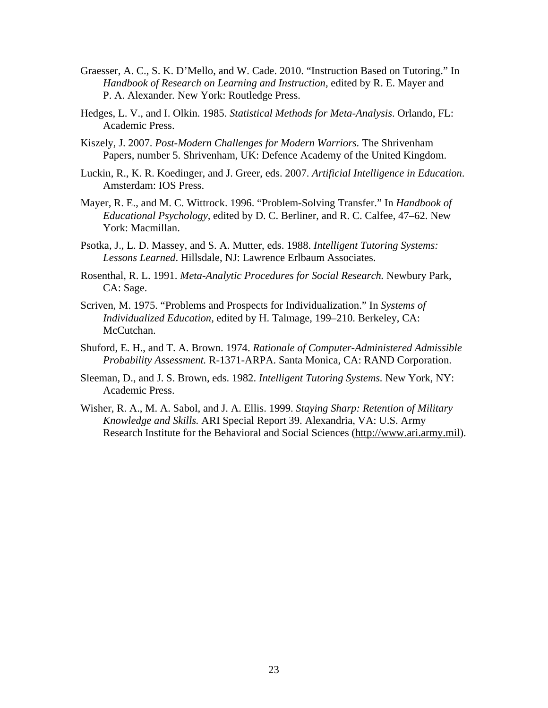- Graesser, A. C., S. K. D'Mello, and W. Cade. 2010. "Instruction Based on Tutoring." In *Handbook of Research on Learning and Instruction,* edited by R. E. Mayer and P. A. Alexander*.* New York: Routledge Press.
- Hedges, L. V., and I. Olkin. 1985. *Statistical Methods for Meta-Analysis*. Orlando, FL: Academic Press.
- Kiszely, J. 2007. *Post-Modern Challenges for Modern Warriors.* The Shrivenham Papers, number 5. Shrivenham, UK: Defence Academy of the United Kingdom.
- Luckin, R., K. R. Koedinger, and J. Greer, eds. 2007. *Artificial Intelligence in Education*. Amsterdam: IOS Press.
- Mayer, R. E., and M. C. Wittrock. 1996. "Problem-Solving Transfer." In *Handbook of Educational Psychology,* edited by D. C. Berliner, and R. C. Calfee, 47–62. New York: Macmillan.
- Psotka, J., L. D. Massey, and S. A. Mutter, eds. 1988. *Intelligent Tutoring Systems: Lessons Learned*. Hillsdale, NJ: Lawrence Erlbaum Associates.
- Rosenthal, R. L. 1991. *Meta-Analytic Procedures for Social Research.* Newbury Park, CA: Sage.
- Scriven, M. 1975. "Problems and Prospects for Individualization." In *Systems of Individualized Education,* edited by H. Talmage, 199–210. Berkeley, CA: McCutchan.
- Shuford, E. H., and T. A. Brown. 1974. *Rationale of Computer-Administered Admissible Probability Assessment.* R-1371-ARPA. Santa Monica, CA: RAND Corporation.
- Sleeman, D., and J. S. Brown, eds. 1982. *Intelligent Tutoring Systems.* New York, NY: Academic Press.
- Wisher, R. A., M. A. Sabol, and J. A. Ellis. 1999. *Staying Sharp: Retention of Military Knowledge and Skills.* ARI Special Report 39. Alexandria, VA: U.S. Army Research Institute for the Behavioral and Social Sciences (http://www.ari.army.mil).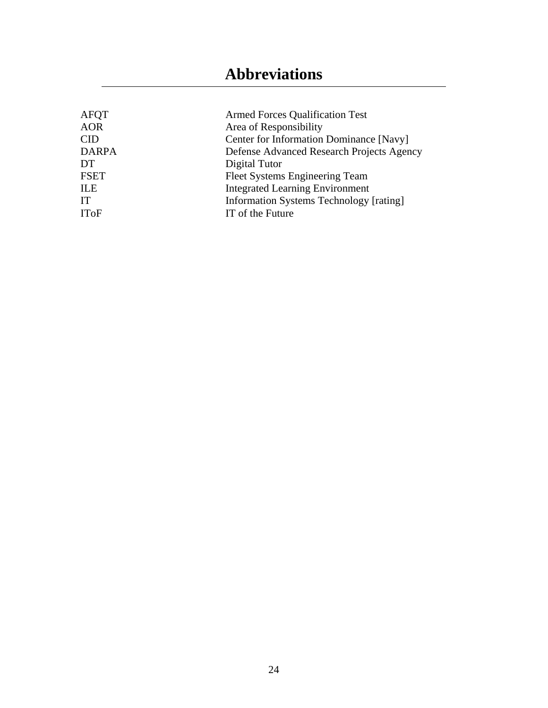# **Abbreviations**

| AFQT         | <b>Armed Forces Qualification Test</b>         |
|--------------|------------------------------------------------|
| <b>AOR</b>   | Area of Responsibility                         |
| <b>CID</b>   | Center for Information Dominance [Navy]        |
| <b>DARPA</b> | Defense Advanced Research Projects Agency      |
| DT.          | Digital Tutor                                  |
| <b>FSET</b>  | Fleet Systems Engineering Team                 |
| ILE          | <b>Integrated Learning Environment</b>         |
| IT           | <b>Information Systems Technology [rating]</b> |
| <b>IToF</b>  | IT of the Future                               |